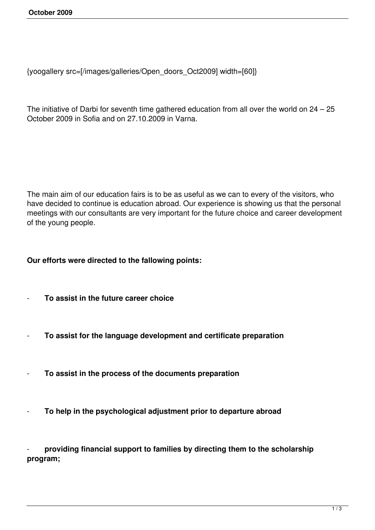```
{yoogallery src=[/images/galleries/Open_doors_Oct2009] width=[60]}
```
The initiative of Darbi for seventh time gathered education from all over the world on 24 – 25 October 2009 in Sofia and on 27.10.2009 in Varna.

The main aim of our education fairs is to be as useful as we can to every of the visitors, who have decided to continue is education abroad. Our experience is showing us that the personal meetings with our consultants are very important for the future choice and career development of the young people.

## **Our efforts were directed to the fallowing points:**

- **To assist in the future career choice**
- **To assist for the language development and certificate preparation**
- **To assist in the process of the documents preparation**
- **To help in the psychological adjustment prior to departure abroad**

- **providing financial support to families by directing them to the scholarship program;**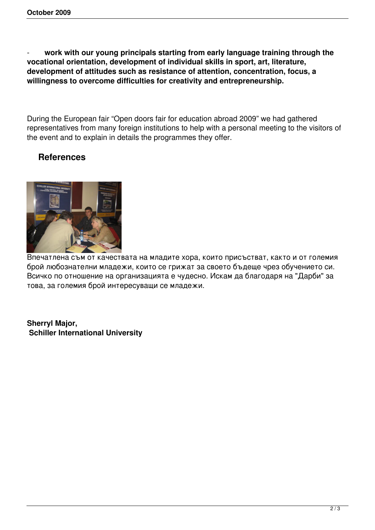work with our young principals starting from early language training through the **vocational orientation, development of individual skills in sport, art, literature, development of attitudes such as resistance of attention, concentration, focus, a willingness to overcome difficulties for creativity and entrepreneurship.**

During the European fair "Open doors fair for education abroad 2009" we had gathered representatives from many foreign institutions to help with a personal meeting to the visitors of the event and to explain in details the programmes they offer.

## **References**



Впечатлена съм от качествата на младите хора, които присъстват, както и от големия брой любознателни младежи, които се грижат за своето бъдеще чрез обучението си. Всичко по отношение на организацията е чудесно. Искам да благодаря на "Дарби" за това, за големия брой интересуващи се младежи.

**Sherryl Major, Schiller International University**